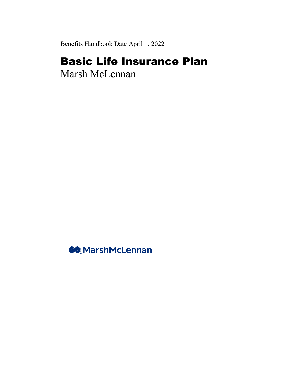Benefits Handbook Date April 1, 2022

# Basic Life Insurance Plan

Marsh McLennan

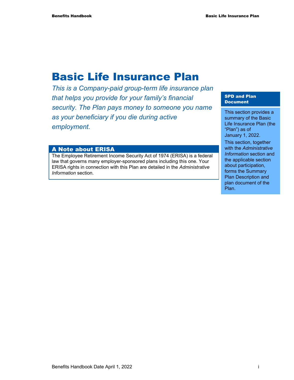## Basic Life Insurance Plan

*This is a Company-paid group-term life insurance plan that helps you provide for your family's financial security. The Plan pays money to someone you name as your beneficiary if you die during active employment.* 

#### A Note about ERISA

The Employee Retirement Income Security Act of 1974 (ERISA) is a federal law that governs many employer-sponsored plans including this one. Your ERISA rights in connection with this Plan are detailed in the *Administrative Information* section.

#### SPD and Plan Document

This section provides a summary of the Basic Life Insurance Plan (the "Plan") as of January 1, 2022.

This section, together with the *Administrative Information* section and the applicable section about participation, forms the Summary Plan Description and plan document of the Plan.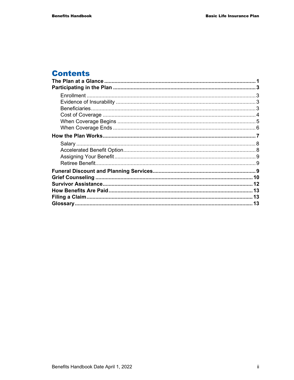## **Contents**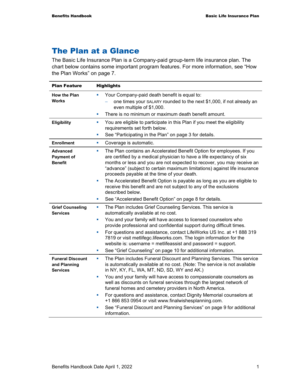## The Plan at a Glance

The Basic Life Insurance Plan is a Company-paid group-term life insurance plan. The chart below contains some important program features. For more information, see "How the Plan Works" on page 7.

| <b>Plan Feature</b>                                        | <b>Highlights</b>                                                                                                                                                                                                                                                                                                                                          |  |
|------------------------------------------------------------|------------------------------------------------------------------------------------------------------------------------------------------------------------------------------------------------------------------------------------------------------------------------------------------------------------------------------------------------------------|--|
| <b>How the Plan</b>                                        | Your Company-paid death benefit is equal to:<br>п                                                                                                                                                                                                                                                                                                          |  |
| Works                                                      | one times your SALARY rounded to the next \$1,000, if not already an<br>even multiple of \$1,000.                                                                                                                                                                                                                                                          |  |
|                                                            | There is no minimum or maximum death benefit amount.<br>×                                                                                                                                                                                                                                                                                                  |  |
| <b>Eligibility</b>                                         | You are eligible to participate in this Plan if you meet the eligibility<br>a.<br>requirements set forth below.                                                                                                                                                                                                                                            |  |
|                                                            | See "Participating in the Plan" on page 3 for details.<br>L,                                                                                                                                                                                                                                                                                               |  |
| <b>Enrollment</b>                                          | Coverage is automatic.<br><b>C</b>                                                                                                                                                                                                                                                                                                                         |  |
| Advanced<br><b>Payment of</b><br><b>Benefit</b>            | The Plan contains an Accelerated Benefit Option for employees. If you<br>L.<br>are certified by a medical physician to have a life expectancy of six<br>months or less and you are not expected to recover, you may receive an<br>"advance" (subject to certain maximum limitations) against life insurance<br>proceeds payable at the time of your death. |  |
|                                                            | The Accelerated Benefit Option is payable as long as you are eligible to<br>L.<br>receive this benefit and are not subject to any of the exclusions<br>described below.                                                                                                                                                                                    |  |
|                                                            | See "Accelerated Benefit Option" on page 8 for details.<br>L.                                                                                                                                                                                                                                                                                              |  |
| <b>Grief Counseling</b><br><b>Services</b>                 | The Plan includes Grief Counseling Services. This service is<br>ш<br>automatically available at no cost.                                                                                                                                                                                                                                                   |  |
|                                                            | You and your family will have access to licensed counselors who<br>u,<br>provide professional and confidential support during difficult times.                                                                                                                                                                                                             |  |
|                                                            | For questions and assistance, contact LifeWorks US Inc. at +1 888 319<br>Ľ,<br>7819 or visit metlifegc.lifeworks.com. The login information for the<br>website is: username = metlifeassist and password = support.                                                                                                                                        |  |
|                                                            | See "Grief Counseling" on page 10 for additional information.<br>ш                                                                                                                                                                                                                                                                                         |  |
| <b>Funeral Discount</b><br>and Planning<br><b>Services</b> | The Plan includes Funeral Discount and Planning Services. This service<br>ш<br>is automatically available at no cost. (Note: The service is not available<br>in NY, KY, FL, WA, MT, ND, SD, WY and AK.)                                                                                                                                                    |  |
|                                                            | You and your family will have access to compassionate counselors as<br>well as discounts on funeral services through the largest network of<br>funeral homes and cemetery providers in North America.                                                                                                                                                      |  |
|                                                            | For questions and assistance, contact Dignity Memorial counselors at<br>+1 866 853 0954 or visit www.finalwishesplanning.com.                                                                                                                                                                                                                              |  |
|                                                            | See "Funeral Discount and Planning Services" on page 9 for additional<br>×,<br>information.                                                                                                                                                                                                                                                                |  |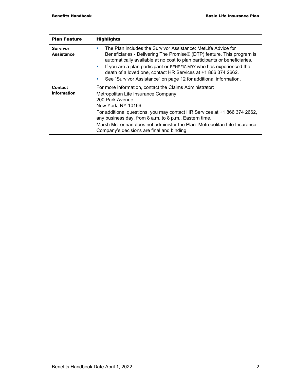| <b>Plan Feature</b>           | <b>Highlights</b>                                                                                                                                                                                                                             |  |
|-------------------------------|-----------------------------------------------------------------------------------------------------------------------------------------------------------------------------------------------------------------------------------------------|--|
| Survivor<br><b>Assistance</b> | The Plan includes the Survivor Assistance: MetLife Advice for<br>a.<br>Beneficiaries - Delivering The Promise® (DTP) feature. This program is<br>automatically available at no cost to plan participants or beneficiaries.                    |  |
|                               | If you are a plan participant or BENEFICIARY who has experienced the<br>$\blacksquare$<br>death of a loved one, contact HR Services at +1 866 374 2662.<br>See "Survivor Assistance" on page 12 for additional information.<br><b>College</b> |  |
| Contact                       |                                                                                                                                                                                                                                               |  |
| <b>Information</b>            | For more information, contact the Claims Administrator:<br>Metropolitan Life Insurance Company<br>200 Park Avenue<br>New York, NY 10166                                                                                                       |  |
|                               | For additional questions, you may contact HR Services at +1 866 374 2662,<br>any business day, from 8 a.m. to 8 p.m., Eastern time.                                                                                                           |  |
|                               | Marsh McLennan does not administer the Plan. Metropolitan Life Insurance<br>Company's decisions are final and binding.                                                                                                                        |  |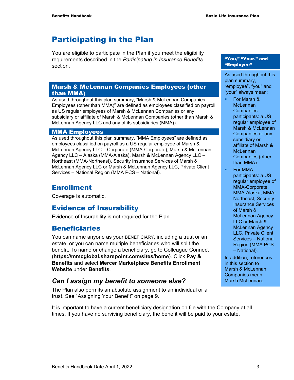## Participating in the Plan

You are eligible to participate in the Plan if you meet the eligibility requirements described in the *Participating in Insurance Benefits* section.

#### Marsh & McLennan Companies Employees (other than MMA)

As used throughout this plan summary, "Marsh & McLennan Companies Employees (other than MMA)" are defined as employees classified on payroll as US regular employees of Marsh & McLennan Companies or any subsidiary or affiliate of Marsh & McLennan Companies (other than Marsh & McLennan Agency LLC and any of its subsidiaries (MMA)).

#### MMA Employees

As used throughout this plan summary, "MMA Employees" are defined as employees classified on payroll as a US regular employee of Marsh & McLennan Agency LLC – Corporate (MMA-Corporate), Marsh & McLennan Agency LLC – Alaska (MMA-Alaska), Marsh & McLennan Agency LLC – Northeast (MMA-Northeast), Security Insurance Services of Marsh & McLennan Agency LLC or Marsh & McLennan Agency LLC, Private Client Services – National Region (MMA PCS – National).

### Enrollment

Coverage is automatic.

### Evidence of Insurability

Evidence of Insurability is not required for the Plan.

#### Beneficiaries

You can name anyone as your BENEFICIARY, including a trust or an estate, or you can name multiple beneficiaries who will split the benefit. To name or change a beneficiary, go to Colleague Connect (**https://mmcglobal.sharepoint.com/sites/home**). Click **Pay & Benefits** and select **Mercer Marketplace Benefits Enrollment Website** under **Benefits**.

### *Can I assign my benefit to someone else?*

The Plan also permits an absolute assignment to an individual or a trust. See "Assigning Your Benefit" on page 9.

It is important to have a current beneficiary designation on file with the Company at all times. If you have no surviving beneficiary, the benefit will be paid to your estate.

#### "You," "Your," and "Employee"

As used throughout this plan summary, "employee", "you" and "your" always mean:

- For Marsh & **McLennan Companies** participants: a US regular employee of Marsh & McLennan Companies or any subsidiary or affiliate of Marsh & **McLennan** Companies (other than MMA).
- **For MMA** participants: a US regular employee of MMA-Corporate, MMA-Alaska, MMA-Northeast, Security Insurance Services of Marsh & McLennan Agency LLC or Marsh & McLennan Agency LLC, Private Client Services – National Region (MMA PCS – National).

In addition, references in this section to Marsh & McLennan Companies mean Marsh McLennan.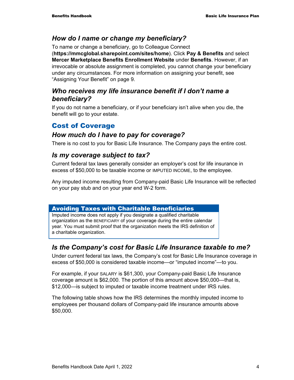#### *How do I name or change my beneficiary?*

To name or change a beneficiary, go to Colleague Connect (**https://mmcglobal.sharepoint.com/sites/home**). Click **Pay & Benefits** and select **Mercer Marketplace Benefits Enrollment Website** under **Benefits**. However, if an irrevocable or absolute assignment is completed, you cannot change your beneficiary under any circumstances. For more information on assigning your benefit, see "Assigning Your Benefit" on page 9.

#### *Who receives my life insurance benefit if I don't name a beneficiary?*

If you do not name a beneficiary, or if your beneficiary isn't alive when you die, the benefit will go to your estate.

### Cost of Coverage

#### *How much do I have to pay for coverage?*

There is no cost to you for Basic Life Insurance. The Company pays the entire cost.

#### *Is my coverage subject to tax?*

Current federal tax laws generally consider an employer's cost for life insurance in excess of \$50,000 to be taxable income or IMPUTED INCOME, to the employee.

Any imputed income resulting from Company-paid Basic Life Insurance will be reflected on your pay stub and on your year end W-2 form.

#### Avoiding Taxes with Charitable Beneficiaries

Imputed income does not apply if you designate a qualified charitable organization as the BENEFICIARY of your coverage during the entire calendar year. You must submit proof that the organization meets the IRS definition of a charitable organization.

### *Is the Company's cost for Basic Life Insurance taxable to me?*

Under current federal tax laws, the Company's cost for Basic Life Insurance coverage in excess of \$50,000 is considered taxable income—or "imputed income"—to you.

For example, if your SALARY is \$61,300, your Company-paid Basic Life Insurance coverage amount is \$62,000. The portion of this amount above \$50,000—that is, \$12,000—is subject to imputed or taxable income treatment under IRS rules.

The following table shows how the IRS determines the monthly imputed income to employees per thousand dollars of Company-paid life insurance amounts above \$50,000.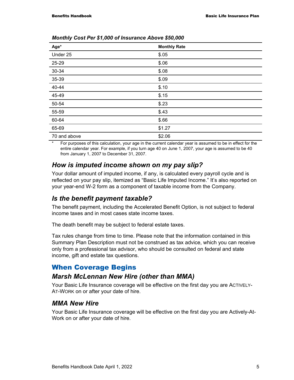| Age*         | <b>Monthly Rate</b> |
|--------------|---------------------|
| Under 25     | \$.05               |
| 25-29        | \$.06               |
| 30-34        | \$.08               |
| 35-39        | \$.09               |
| 40-44        | \$.10               |
| 45-49        | \$.15               |
| 50-54        | \$.23               |
| 55-59        | \$.43               |
| 60-64        | \$.66               |
| 65-69        | \$1.27              |
| 70 and above | \$2.06              |

*Monthly Cost Per \$1,000 of Insurance Above \$50,000* 

For purposes of this calculation, your age in the current calendar year is assumed to be in effect for the entire calendar year. For example, if you turn age 40 on June 1, 2007, your age is assumed to be 40 from January 1, 2007 to December 31, 2007.

#### *How is imputed income shown on my pay slip?*

Your dollar amount of imputed income, if any, is calculated every payroll cycle and is reflected on your pay slip, itemized as "Basic Life Imputed Income." It's also reported on your year-end W-2 form as a component of taxable income from the Company.

#### *Is the benefit payment taxable?*

The benefit payment, including the Accelerated Benefit Option, is not subject to federal income taxes and in most cases state income taxes.

The death benefit may be subject to federal estate taxes.

Tax rules change from time to time. Please note that the information contained in this Summary Plan Description must not be construed as tax advice, which you can receive only from a professional tax advisor, who should be consulted on federal and state income, gift and estate tax questions.

### When Coverage Begins

#### *Marsh McLennan New Hire (other than MMA)*

Your Basic Life Insurance coverage will be effective on the first day you are ACTIVELY-AT-WORK on or after your date of hire.

#### *MMA New Hire*

Your Basic Life Insurance coverage will be effective on the first day you are Actively-At-Work on or after your date of hire.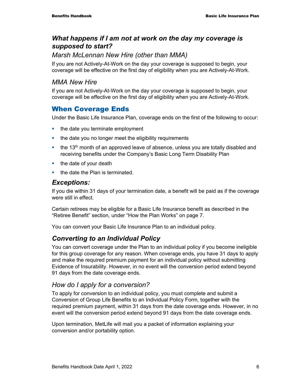### *What happens if I am not at work on the day my coverage is supposed to start?*

### *Marsh McLennan New Hire (other than MMA)*

If you are not Actively-At-Work on the day your coverage is supposed to begin, your coverage will be effective on the first day of eligibility when you are Actively-At-Work.

#### *MMA New Hire*

If you are not Actively-At-Work on the day your coverage is supposed to begin, your coverage will be effective on the first day of eligibility when you are Actively-At-Work.

## When Coverage Ends

Under the Basic Life Insurance Plan, coverage ends on the first of the following to occur:

- $\blacksquare$  the date you terminate employment
- the date you no longer meet the eligibility requirements
- $\bullet$  the 13<sup>th</sup> month of an approved leave of absence, unless you are totally disabled and receiving benefits under the Company's Basic Long Term Disability Plan
- $\blacksquare$  the date of your death
- the date the Plan is terminated.

#### *Exceptions:*

If you die within 31 days of your termination date, a benefit will be paid as if the coverage were still in effect.

Certain retirees may be eligible for a Basic Life Insurance benefit as described in the "Retiree Benefit" section, under "How the Plan Works" on page 7.

You can convert your Basic Life Insurance Plan to an individual policy.

### *Converting to an Individual Policy*

You can convert coverage under the Plan to an individual policy if you become ineligible for this group coverage for any reason. When coverage ends, you have 31 days to apply and make the required premium payment for an individual policy without submitting Evidence of Insurability. However, in no event will the conversion period extend beyond 91 days from the date coverage ends.

### *How do I apply for a conversion?*

To apply for conversion to an individual policy, you must complete and submit a Conversion of Group Life Benefits to an Individual Policy Form, together with the required premium payment, within 31 days from the date coverage ends. However, in no event will the conversion period extend beyond 91 days from the date coverage ends.

Upon termination, MetLife will mail you a packet of information explaining your conversion and/or portability option.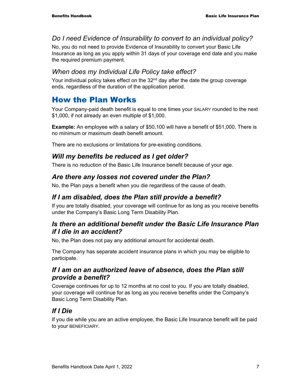### *Do I need Evidence of Insurability to convert to an individual policy?*

No, you do not need to provide Evidence of Insurability to convert your Basic Life Insurance as long as you apply within 31 days of your coverage end date and you make the required premium payment.

### *When does my Individual Life Policy take effect?*

Your individual policy takes effect on the  $32<sup>nd</sup>$  day after the date the group coverage ends, regardless of the duration of the application period.

## How the Plan Works

Your Company-paid death benefit is equal to one times your SALARY rounded to the next \$1,000, if not already an even multiple of \$1,000.

**Example:** An employee with a salary of \$50,100 will have a benefit of \$51,000. There is no minimum or maximum death benefit amount.

There are no exclusions or limitations for pre-existing conditions.

### *Will my benefits be reduced as I get older?*

There is no reduction of the Basic Life Insurance benefit because of your age.

### *Are there any losses not covered under the Plan?*

No, the Plan pays a benefit when you die regardless of the cause of death.

### *If I am disabled, does the Plan still provide a benefit?*

If you are totally disabled, your coverage will continue for as long as you receive benefits under the Company's Basic Long Term Disability Plan.

### *Is there an additional benefit under the Basic Life Insurance Plan if I die in an accident?*

No, the Plan does not pay any additional amount for accidental death.

The Company has separate accident insurance plans in which you may be eligible to participate.

### *If I am on an authorized leave of absence, does the Plan still provide a benefit?*

Coverage continues for up to 12 months at no cost to you. If you are totally disabled, your coverage will continue for as long as you receive benefits under the Company's Basic Long Term Disability Plan.

### *If I Die*

If you die while you are an active employee, the Basic Life Insurance benefit will be paid to your BENEFICIARY.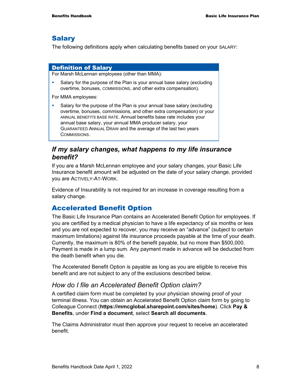#### **Salary**

The following definitions apply when calculating benefits based on your SALARY:

#### Definition of Salary

For Marsh McLennan employees (other than MMA):

 Salary for the purpose of the Plan is your annual base salary (excluding overtime, bonuses, COMMISSIONS, and other extra compensation).

For MMA employees:

 Salary for the purpose of the Plan is your annual base salary (excluding overtime, bonuses, commissions, and other extra compensation) or your ANNUAL BENEFITS BASE RATE. Annual benefits base rate includes your annual base salary, your annual MMA producer salary, your GUARANTEED ANNUAL DRAW and the average of the last two years COMMISSIONS.

#### *If my salary changes, what happens to my life insurance benefit?*

If you are a Marsh McLennan employee and your salary changes, your Basic Life Insurance benefit amount will be adjusted on the date of your salary change, provided you are ACTIVELY-AT-WORK.

Evidence of Insurability is not required for an increase in coverage resulting from a salary change.

### Accelerated Benefit Option

The Basic Life Insurance Plan contains an Accelerated Benefit Option for employees. If you are certified by a medical physician to have a life expectancy of six months or less and you are not expected to recover, you may receive an "advance" (subject to certain maximum limitations) against life insurance proceeds payable at the time of your death. Currently, the maximum is 80% of the benefit payable, but no more than \$500,000. Payment is made in a lump sum. Any payment made in advance will be deducted from the death benefit when you die.

The Accelerated Benefit Option is payable as long as you are eligible to receive this benefit and are not subject to any of the exclusions described below.

#### *How do I file an Accelerated Benefit Option claim?*

A certified claim form must be completed by your physician showing proof of your terminal illness. You can obtain an Accelerated Benefit Option claim form by going to Colleague Connect (**https://mmcglobal.sharepoint.com/sites/home**). Click **Pay & Benefits**, under **Find a document**, select **Search all documents**.

The Claims Administrator must then approve your request to receive an accelerated benefit.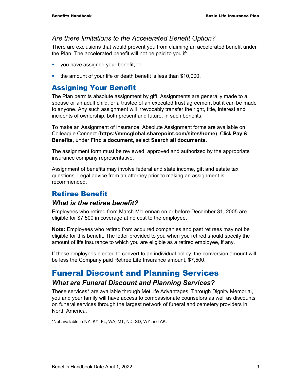#### *Are there limitations to the Accelerated Benefit Option?*

There are exclusions that would prevent you from claiming an accelerated benefit under the Plan. The accelerated benefit will not be paid to you if:

- **v** you have assigned your benefit, or
- **the amount of your life or death benefit is less than \$10,000.**

#### Assigning Your Benefit

The Plan permits absolute assignment by gift. Assignments are generally made to a spouse or an adult child, or a trustee of an executed trust agreement but it can be made to anyone. Any such assignment will irrevocably transfer the right, title, interest and incidents of ownership, both present and future, in such benefits.

To make an Assignment of Insurance, Absolute Assignment forms are available on Colleague Connect (**https://mmcglobal.sharepoint.com/sites/home**). Click **Pay & Benefits**, under **Find a document**, select **Search all documents**.

The assignment form must be reviewed, approved and authorized by the appropriate insurance company representative.

Assignment of benefits may involve federal and state income, gift and estate tax questions. Legal advice from an attorney prior to making an assignment is recommended.

### Retiree Benefit

#### *What is the retiree benefit?*

Employees who retired from Marsh McLennan on or before December 31, 2005 are eligible for \$7,500 in coverage at no cost to the employee.

**Note:** Employees who retired from acquired companies and past retirees may not be eligible for this benefit. The letter provided to you when you retired should specify the amount of life insurance to which you are eligible as a retired employee, if any.

If these employees elected to convert to an individual policy, the conversion amount will be less the Company paid Retiree Life Insurance amount, \$7,500.

## Funeral Discount and Planning Services

#### *What are Funeral Discount and Planning Services?*

These services\* are available through MetLife Advantages. Through Dignity Memorial, you and your family will have access to compassionate counselors as well as discounts on funeral services through the largest network of funeral and cemetery providers in North America.

\*Not available in NY, KY, FL, WA, MT, ND, SD, WY and AK.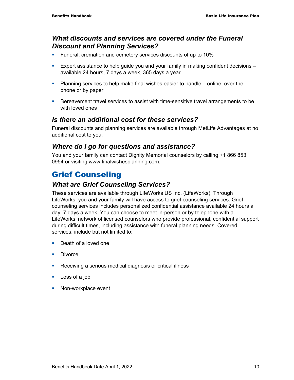#### *What discounts and services are covered under the Funeral Discount and Planning Services?*

- **Funeral, cremation and cemetery services discounts of up to 10%**
- **Expert assistance to help guide you and your family in making confident decisions** available 24 hours, 7 days a week, 365 days a year
- Planning services to help make final wishes easier to handle online, over the phone or by paper
- **Bereavement travel services to assist with time-sensitive travel arrangements to be** with loved ones

#### *Is there an additional cost for these services?*

Funeral discounts and planning services are available through MetLife Advantages at no additional cost to you.

### *Where do I go for questions and assistance?*

You and your family can contact Dignity Memorial counselors by calling +1 866 853 0954 or visiting www.finalwishesplanning.com.

## Grief Counseling

### *What are Grief Counseling Services?*

These services are available through LifeWorks US Inc. (LifeWorks). Through LifeWorks, you and your family will have access to grief counseling services. Grief counseling services includes personalized confidential assistance available 24 hours a day, 7 days a week. You can choose to meet in-person or by telephone with a LifeWorks' network of licensed counselors who provide professional, confidential support during difficult times, including assistance with funeral planning needs. Covered services, include but not limited to:

- Death of a loved one
- **Divorce**
- Receiving a serious medical diagnosis or critical illness
- **Loss of a job**
- **Non-workplace event**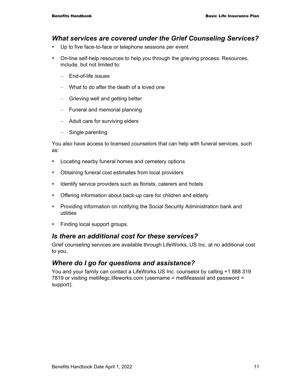#### *What services are covered under the Grief Counseling Services?*

- **Up to five face-to-face or telephone sessions per event**
- On-line self-help resources to help you through the grieving process. Resources, include, but not limited to:
	- − End-of-life issues
	- − What to do after the death of a loved one
	- − Grieving well and getting better
	- − Funeral and memorial planning
	- − Adult care for surviving elders
	- − Single parenting

You also have access to licensed counselors that can help with funeral services, such as:

- **Locating nearby funeral homes and cemetery options**
- **Obtaining funeral cost estimates from local providers**
- **IDENTIFY** service providers such as florists, caterers and hotels
- **Offering information about back-up care for children and elderly**
- **Providing information on notifying the Social Security Administration bank and** utilities
- **Finding local support groups.**

#### *Is there an additional cost for these services?*

Grief counseling services are available through LifeWorks, US Inc. at no additional cost to you.

#### *Where do I go for questions and assistance?*

You and your family can contact a LifeWorks US Inc. counselor by calling +1 888 319 7819 or visiting metlifegc.lifeworks.com (username = metlifeassist and password = support).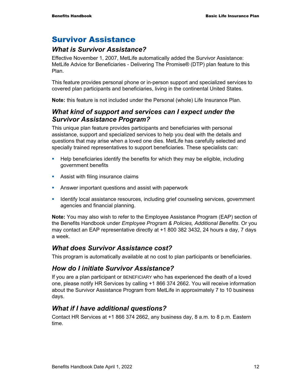## Survivor Assistance

### *What is Survivor Assistance?*

Effective November 1, 2007, MetLife automatically added the Survivor Assistance: MetLife Advice for Beneficiaries - Delivering The Promise® (DTP) plan feature to this Plan.

This feature provides personal phone or in-person support and specialized services to covered plan participants and beneficiaries, living in the continental United States.

**Note:** this feature is not included under the Personal (whole) Life Insurance Plan.

### *What kind of support and services can I expect under the Survivor Assistance Program?*

This unique plan feature provides participants and beneficiaries with personal assistance, support and specialized services to help you deal with the details and questions that may arise when a loved one dies. MetLife has carefully selected and specially trained representatives to support beneficiaries. These specialists can:

- Help beneficiaries identify the benefits for which they may be eligible, including government benefits
- **Assist with filing insurance claims**
- **Answer important questions and assist with paperwork**
- **If all identify local assistance resources, including grief counseling services, government** agencies and financial planning.

**Note:** You may also wish to refer to the Employee Assistance Program (EAP) section of the Benefits Handbook under *Employee Program & Policies, Additional Benefits*. Or you may contact an EAP representative directly at +1 800 382 3432, 24 hours a day, 7 days a week.

#### *What does Survivor Assistance cost?*

This program is automatically available at no cost to plan participants or beneficiaries.

### *How do I initiate Survivor Assistance?*

If you are a plan participant or BENEFICIARY who has experienced the death of a loved one, please notify HR Services by calling +1 866 374 2662. You will receive information about the Survivor Assistance Program from MetLife in approximately 7 to 10 business days.

### *What if I have additional questions?*

Contact HR Services at +1 866 374 2662, any business day, 8 a.m. to 8 p.m. Eastern time.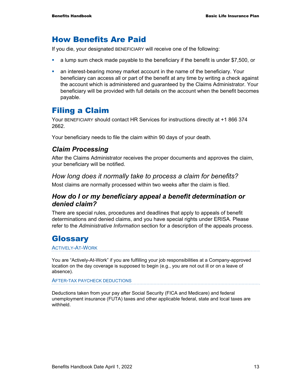## How Benefits Are Paid

If you die, your designated BENEFICIARY will receive one of the following:

- a lump sum check made payable to the beneficiary if the benefit is under \$7,500, or
- an interest-bearing money market account in the name of the beneficiary. Your beneficiary can access all or part of the benefit at any time by writing a check against the account which is administered and guaranteed by the Claims Administrator. Your beneficiary will be provided with full details on the account when the benefit becomes payable.

## Filing a Claim

Your BENEFICIARY should contact HR Services for instructions directly at +1 866 374 2662.

Your beneficiary needs to file the claim within 90 days of your death.

#### *Claim Processing*

After the Claims Administrator receives the proper documents and approves the claim, your beneficiary will be notified.

#### *How long does it normally take to process a claim for benefits?*

Most claims are normally processed within two weeks after the claim is filed.

#### *How do I or my beneficiary appeal a benefit determination or denied claim?*

There are special rules, procedures and deadlines that apply to appeals of benefit determinations and denied claims, and you have special rights under ERISA. Please refer to the *Administrative Information* section for a description of the appeals process.

## **Glossary**

#### ACTIVELY-AT-WORK

You are "Actively-At-Work" if you are fulfilling your job responsibilities at a Company-approved location on the day coverage is supposed to begin (e.g., you are not out ill or on a leave of absence).

AFTER-TAX PAYCHECK DEDUCTIONS

Deductions taken from your pay after Social Security (FICA and Medicare) and federal unemployment insurance (FUTA) taxes and other applicable federal, state and local taxes are withheld.